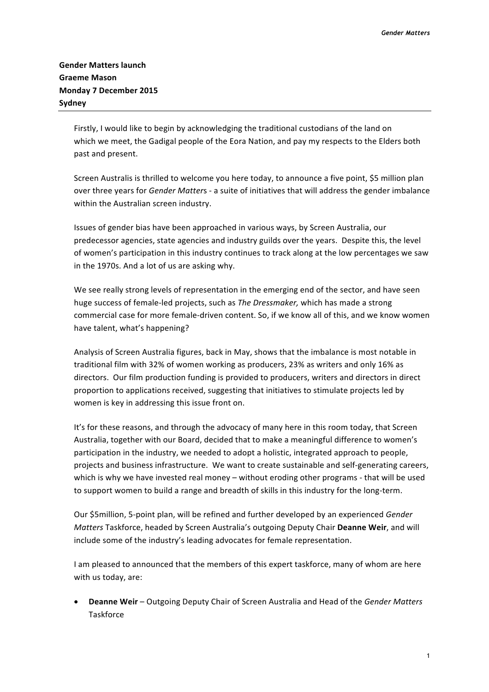Firstly, I would like to begin by acknowledging the traditional custodians of the land on which we meet, the Gadigal people of the Eora Nation, and pay my respects to the Elders both past and present.

Screen Australis is thrilled to welcome you here today, to announce a five point, \$5 million plan over three years for *Gender Matters* - a suite of initiatives that will address the gender imbalance within the Australian screen industry.

Issues of gender bias have been approached in various ways, by Screen Australia, our predecessor agencies, state agencies and industry guilds over the years. Despite this, the level of women's participation in this industry continues to track along at the low percentages we saw in the 1970s. And a lot of us are asking why.

We see really strong levels of representation in the emerging end of the sector, and have seen huge success of female-led projects, such as *The Dressmaker*, which has made a strong commercial case for more female-driven content. So, if we know all of this, and we know women have talent, what's happening?

Analysis of Screen Australia figures, back in May, shows that the imbalance is most notable in traditional film with 32% of women working as producers, 23% as writers and only 16% as directors. Our film production funding is provided to producers, writers and directors in direct proportion to applications received, suggesting that initiatives to stimulate projects led by women is key in addressing this issue front on.

It's for these reasons, and through the advocacy of many here in this room today, that Screen Australia, together with our Board, decided that to make a meaningful difference to women's participation in the industry, we needed to adopt a holistic, integrated approach to people, projects and business infrastructure. We want to create sustainable and self-generating careers, which is why we have invested real money – without eroding other programs - that will be used to support women to build a range and breadth of skills in this industry for the long-term.

Our \$5million, 5-point plan, will be refined and further developed by an experienced *Gender Matters* Taskforce, headed by Screen Australia's outgoing Deputy Chair Deanne Weir, and will include some of the industry's leading advocates for female representation.

I am pleased to announced that the members of this expert taskforce, many of whom are here with us today, are:

**Deanne Weir** – Outgoing Deputy Chair of Screen Australia and Head of the *Gender Matters* **Taskforce**